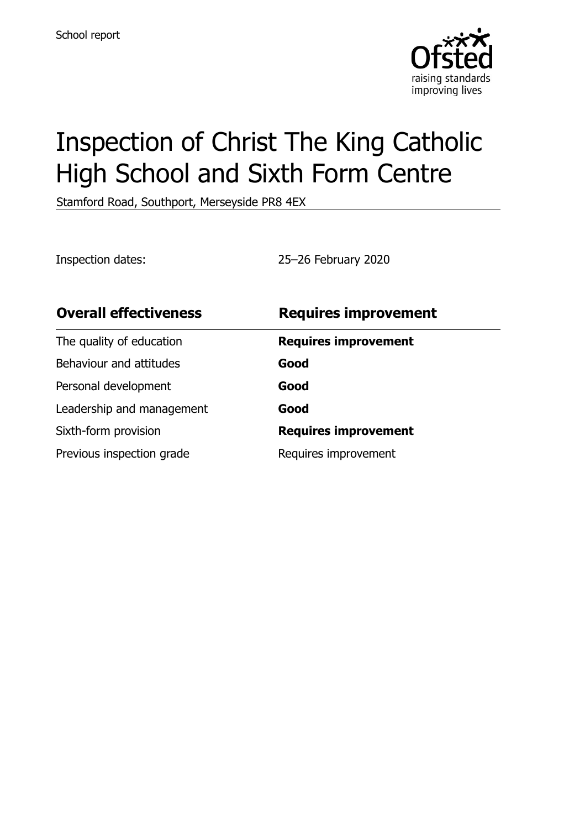

# Inspection of Christ The King Catholic High School and Sixth Form Centre

Stamford Road, Southport, Merseyside PR8 4EX

Inspection dates: 25–26 February 2020

| <b>Overall effectiveness</b> | <b>Requires improvement</b> |
|------------------------------|-----------------------------|
| The quality of education     | <b>Requires improvement</b> |
| Behaviour and attitudes      | Good                        |
| Personal development         | Good                        |
| Leadership and management    | Good                        |
| Sixth-form provision         | <b>Requires improvement</b> |
| Previous inspection grade    | Requires improvement        |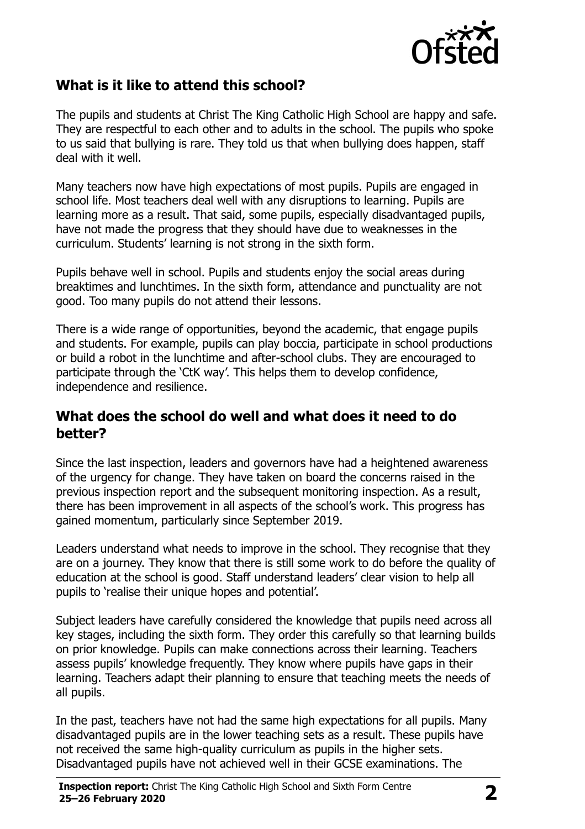

# **What is it like to attend this school?**

The pupils and students at Christ The King Catholic High School are happy and safe. They are respectful to each other and to adults in the school. The pupils who spoke to us said that bullying is rare. They told us that when bullying does happen, staff deal with it well.

Many teachers now have high expectations of most pupils. Pupils are engaged in school life. Most teachers deal well with any disruptions to learning. Pupils are learning more as a result. That said, some pupils, especially disadvantaged pupils, have not made the progress that they should have due to weaknesses in the curriculum. Students' learning is not strong in the sixth form.

Pupils behave well in school. Pupils and students enjoy the social areas during breaktimes and lunchtimes. In the sixth form, attendance and punctuality are not good. Too many pupils do not attend their lessons.

There is a wide range of opportunities, beyond the academic, that engage pupils and students. For example, pupils can play boccia, participate in school productions or build a robot in the lunchtime and after-school clubs. They are encouraged to participate through the 'CtK way'. This helps them to develop confidence, independence and resilience.

#### **What does the school do well and what does it need to do better?**

Since the last inspection, leaders and governors have had a heightened awareness of the urgency for change. They have taken on board the concerns raised in the previous inspection report and the subsequent monitoring inspection. As a result, there has been improvement in all aspects of the school's work. This progress has gained momentum, particularly since September 2019.

Leaders understand what needs to improve in the school. They recognise that they are on a journey. They know that there is still some work to do before the quality of education at the school is good. Staff understand leaders' clear vision to help all pupils to 'realise their unique hopes and potential'.

Subject leaders have carefully considered the knowledge that pupils need across all key stages, including the sixth form. They order this carefully so that learning builds on prior knowledge. Pupils can make connections across their learning. Teachers assess pupils' knowledge frequently. They know where pupils have gaps in their learning. Teachers adapt their planning to ensure that teaching meets the needs of all pupils.

In the past, teachers have not had the same high expectations for all pupils. Many disadvantaged pupils are in the lower teaching sets as a result. These pupils have not received the same high-quality curriculum as pupils in the higher sets. Disadvantaged pupils have not achieved well in their GCSE examinations. The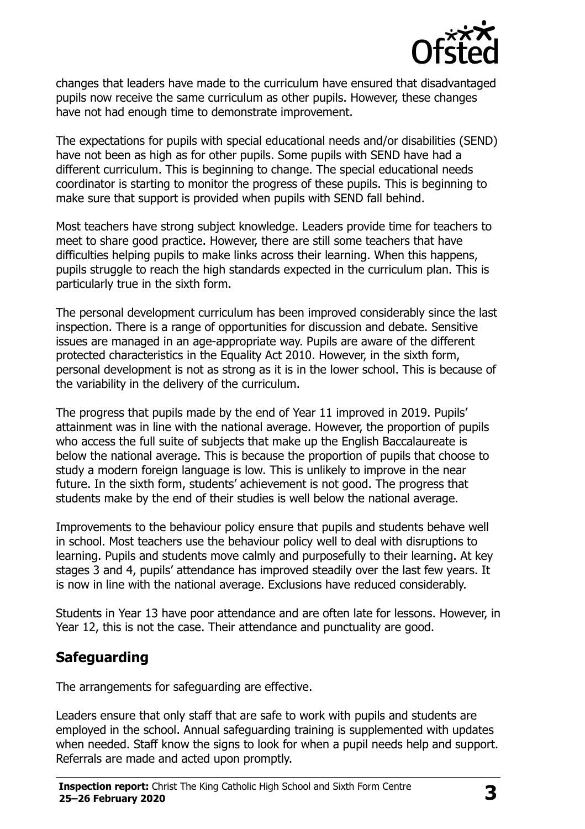

changes that leaders have made to the curriculum have ensured that disadvantaged pupils now receive the same curriculum as other pupils. However, these changes have not had enough time to demonstrate improvement.

The expectations for pupils with special educational needs and/or disabilities (SEND) have not been as high as for other pupils. Some pupils with SEND have had a different curriculum. This is beginning to change. The special educational needs coordinator is starting to monitor the progress of these pupils. This is beginning to make sure that support is provided when pupils with SEND fall behind.

Most teachers have strong subject knowledge. Leaders provide time for teachers to meet to share good practice. However, there are still some teachers that have difficulties helping pupils to make links across their learning. When this happens, pupils struggle to reach the high standards expected in the curriculum plan. This is particularly true in the sixth form.

The personal development curriculum has been improved considerably since the last inspection. There is a range of opportunities for discussion and debate. Sensitive issues are managed in an age-appropriate way. Pupils are aware of the different protected characteristics in the Equality Act 2010. However, in the sixth form, personal development is not as strong as it is in the lower school. This is because of the variability in the delivery of the curriculum.

The progress that pupils made by the end of Year 11 improved in 2019. Pupils' attainment was in line with the national average. However, the proportion of pupils who access the full suite of subjects that make up the English Baccalaureate is below the national average. This is because the proportion of pupils that choose to study a modern foreign language is low. This is unlikely to improve in the near future. In the sixth form, students' achievement is not good. The progress that students make by the end of their studies is well below the national average.

Improvements to the behaviour policy ensure that pupils and students behave well in school. Most teachers use the behaviour policy well to deal with disruptions to learning. Pupils and students move calmly and purposefully to their learning. At key stages 3 and 4, pupils' attendance has improved steadily over the last few years. It is now in line with the national average. Exclusions have reduced considerably.

Students in Year 13 have poor attendance and are often late for lessons. However, in Year 12, this is not the case. Their attendance and punctuality are good.

# **Safeguarding**

The arrangements for safeguarding are effective.

Leaders ensure that only staff that are safe to work with pupils and students are employed in the school. Annual safeguarding training is supplemented with updates when needed. Staff know the signs to look for when a pupil needs help and support. Referrals are made and acted upon promptly.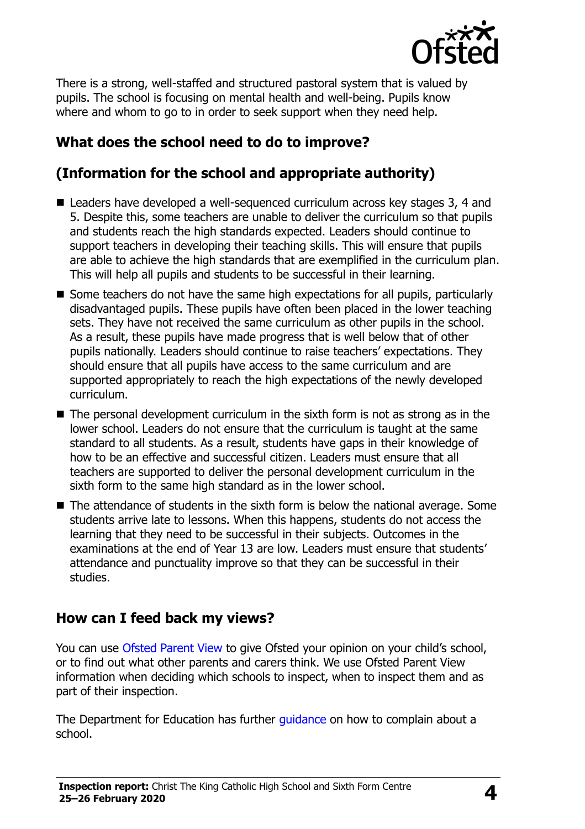

There is a strong, well-staffed and structured pastoral system that is valued by pupils. The school is focusing on mental health and well-being. Pupils know where and whom to go to in order to seek support when they need help.

# **What does the school need to do to improve?**

# **(Information for the school and appropriate authority)**

- Leaders have developed a well-sequenced curriculum across key stages 3, 4 and 5. Despite this, some teachers are unable to deliver the curriculum so that pupils and students reach the high standards expected. Leaders should continue to support teachers in developing their teaching skills. This will ensure that pupils are able to achieve the high standards that are exemplified in the curriculum plan. This will help all pupils and students to be successful in their learning.
- Some teachers do not have the same high expectations for all pupils, particularly disadvantaged pupils. These pupils have often been placed in the lower teaching sets. They have not received the same curriculum as other pupils in the school. As a result, these pupils have made progress that is well below that of other pupils nationally. Leaders should continue to raise teachers' expectations. They should ensure that all pupils have access to the same curriculum and are supported appropriately to reach the high expectations of the newly developed curriculum.
- $\blacksquare$  The personal development curriculum in the sixth form is not as strong as in the lower school. Leaders do not ensure that the curriculum is taught at the same standard to all students. As a result, students have gaps in their knowledge of how to be an effective and successful citizen. Leaders must ensure that all teachers are supported to deliver the personal development curriculum in the sixth form to the same high standard as in the lower school.
- $\blacksquare$  The attendance of students in the sixth form is below the national average. Some students arrive late to lessons. When this happens, students do not access the learning that they need to be successful in their subjects. Outcomes in the examinations at the end of Year 13 are low. Leaders must ensure that students' attendance and punctuality improve so that they can be successful in their studies.

### **How can I feed back my views?**

You can use [Ofsted Parent View](http://parentview.ofsted.gov.uk/) to give Ofsted your opinion on your child's school, or to find out what other parents and carers think. We use Ofsted Parent View information when deciding which schools to inspect, when to inspect them and as part of their inspection.

The Department for Education has further quidance on how to complain about a school.

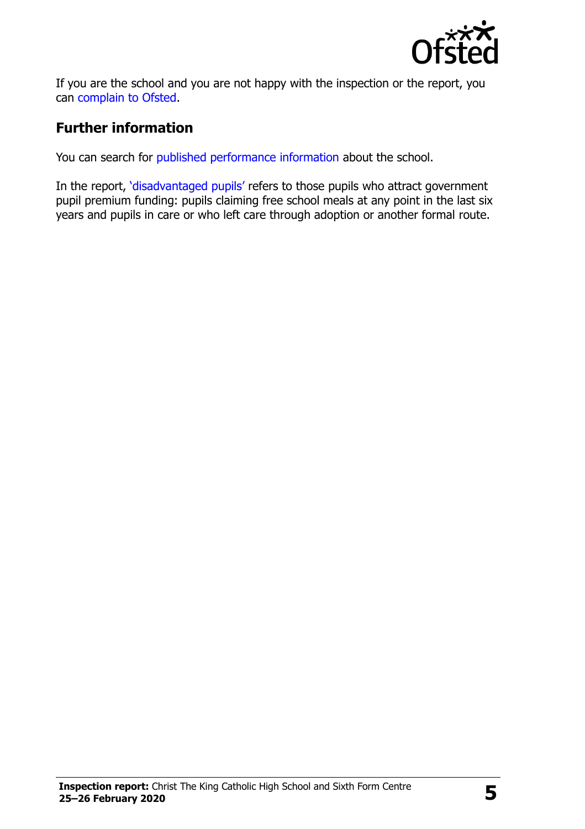

If you are the school and you are not happy with the inspection or the report, you can [complain to Ofsted.](http://www.gov.uk/complain-ofsted-report)

# **Further information**

You can search for [published performance information](http://www.compare-school-performance.service.gov.uk/) about the school.

In the report, '[disadvantaged pupils](http://www.gov.uk/guidance/pupil-premium-information-for-schools-and-alternative-provision-settings)' refers to those pupils who attract government pupil premium funding: pupils claiming free school meals at any point in the last six years and pupils in care or who left care through adoption or another formal route.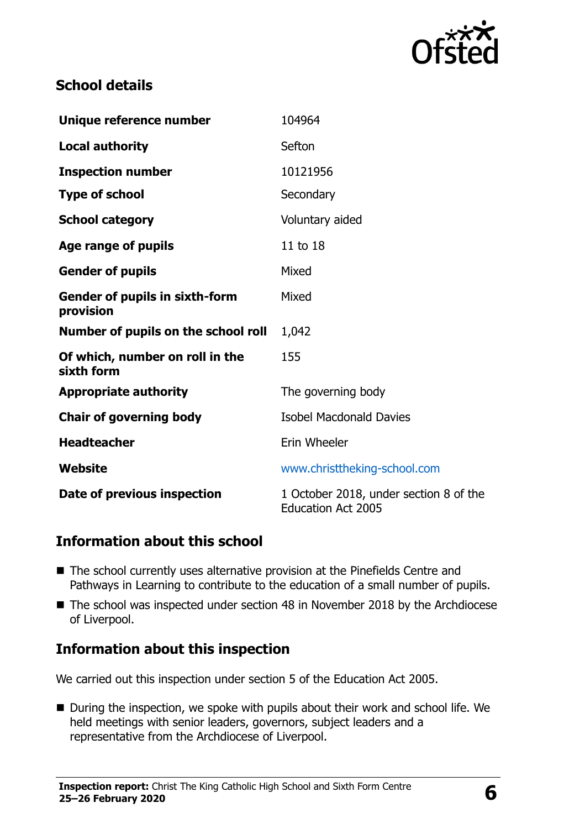

# **School details**

| Unique reference number                            | 104964                                                              |  |
|----------------------------------------------------|---------------------------------------------------------------------|--|
| <b>Local authority</b>                             | Sefton                                                              |  |
| <b>Inspection number</b>                           | 10121956                                                            |  |
| <b>Type of school</b>                              | Secondary                                                           |  |
| <b>School category</b>                             | Voluntary aided                                                     |  |
| Age range of pupils                                | 11 to 18                                                            |  |
| <b>Gender of pupils</b>                            | Mixed                                                               |  |
| <b>Gender of pupils in sixth-form</b><br>provision | Mixed                                                               |  |
| Number of pupils on the school roll                | 1,042                                                               |  |
| Of which, number on roll in the<br>sixth form      | 155                                                                 |  |
| <b>Appropriate authority</b>                       | The governing body                                                  |  |
| <b>Chair of governing body</b>                     | <b>Isobel Macdonald Davies</b>                                      |  |
| <b>Headteacher</b>                                 | Erin Wheeler                                                        |  |
| Website                                            | www.christtheking-school.com                                        |  |
| Date of previous inspection                        | 1 October 2018, under section 8 of the<br><b>Education Act 2005</b> |  |

### **Information about this school**

- The school currently uses alternative provision at the Pinefields Centre and Pathways in Learning to contribute to the education of a small number of pupils.
- The school was inspected under section 48 in November 2018 by the Archdiocese of Liverpool.

### **Information about this inspection**

We carried out this inspection under section 5 of the Education Act 2005.

■ During the inspection, we spoke with pupils about their work and school life. We held meetings with senior leaders, governors, subject leaders and a representative from the Archdiocese of Liverpool.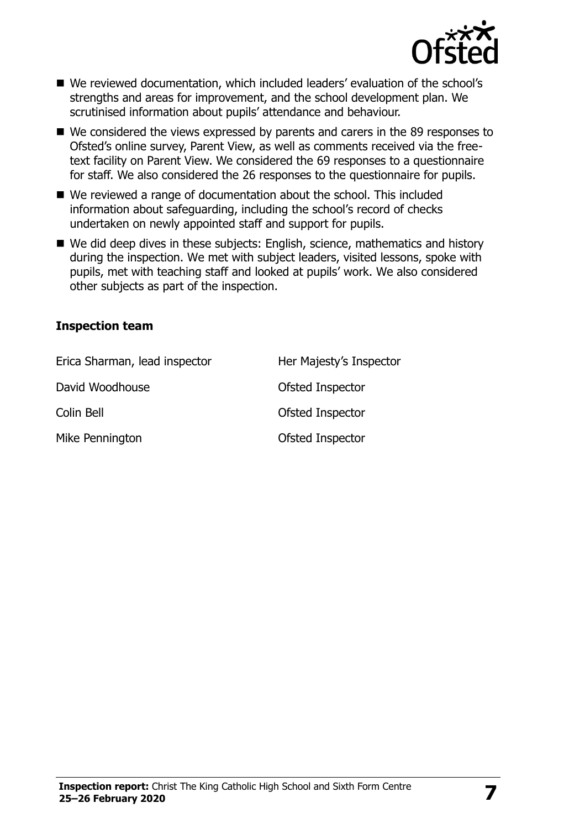

- We reviewed documentation, which included leaders' evaluation of the school's strengths and areas for improvement, and the school development plan. We scrutinised information about pupils' attendance and behaviour.
- We considered the views expressed by parents and carers in the 89 responses to Ofsted's online survey, Parent View, as well as comments received via the freetext facility on Parent View. We considered the 69 responses to a questionnaire for staff. We also considered the 26 responses to the questionnaire for pupils.
- We reviewed a range of documentation about the school. This included information about safeguarding, including the school's record of checks undertaken on newly appointed staff and support for pupils.
- We did deep dives in these subjects: English, science, mathematics and history during the inspection. We met with subject leaders, visited lessons, spoke with pupils, met with teaching staff and looked at pupils' work. We also considered other subjects as part of the inspection.

#### **Inspection team**

| Erica Sharman, lead inspector | Her Majesty's Inspector |
|-------------------------------|-------------------------|
| David Woodhouse               | Ofsted Inspector        |
| Colin Bell                    | Ofsted Inspector        |
| Mike Pennington               | Ofsted Inspector        |